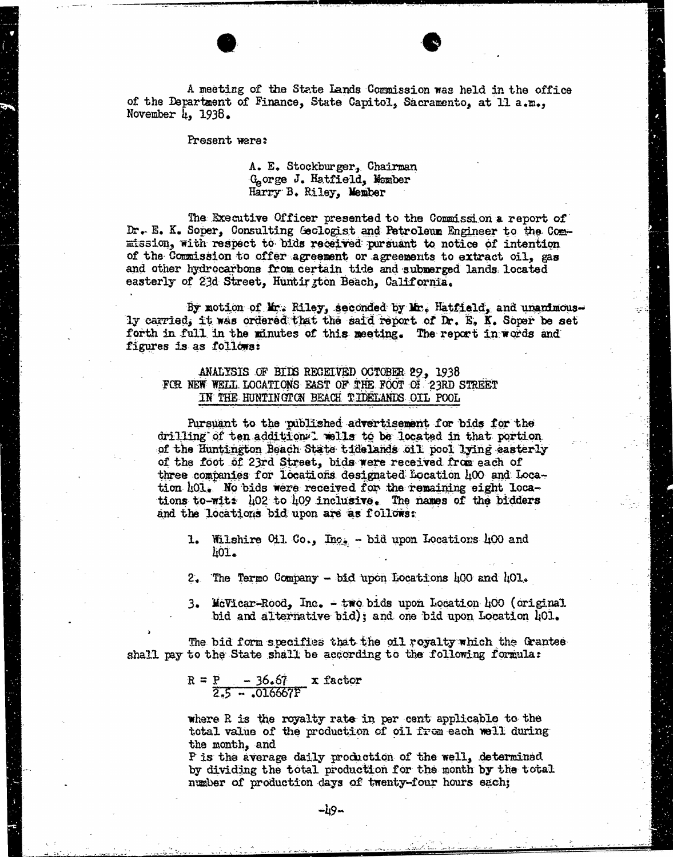A meeting of the State Lands Commission was held in the office of the Department of Finance, State Capitol, Sacramento, at 11 a.m., November  $\mu$ , 1938.

Present were:

## A. E. Stockburger, Chairman George J. Hatfield, Womber Harry B. Riley, Member

The Executive Officer presented to the Commission a report of Dr. E. K. Soper, Consulting Geologist and Petroleum Engineer to the Commission, with respect to bids received pursuant to notice of intention of the Commission to offer agreement or agreements to extract oil, gas and other hydrocarbons from certain tide and submerged lands located easterly of 23d Street, Huntington Beach, California.

By motion of Mr. Riley, seconded by Mr. Hatfield, and unanimous- ly carried, it was ordered that the said report of Dr. E. K. Soper be set forth in full in the minutes of this meeting. The report in words and figures is as follows:

### ANALYSIS OF BIDS RECEIVED OCTOBER 29, 1938 FOR NEW WELL LOCATIONS EAST OF THE FOOT OF 23RD STREET IN THE HUNTINGTON BEACH TIDELANDS OIL POOL

Pursuant to the published advertisement for bids for the drilling of ten additions. wells to be located in that portion. of the Huntington Beach State tidelands oil pool lying easterly of the foot of 23rd Street, bids were received from each of three companies for locations designated Location 400 and Location 101. No bids were received for the remaining eight locations to-wits 402 to 409 inclusive. The names of the bidders and the locations bid upon are as follows:

- 1. Wilshire Oil Co., Ing. bid upon Locations 400 and 401.
- 2. 'The Termo Company bid upon Locations 400 and 101.
- 3. McVicar-Rood, Inc. two bids upon Location 400 (original bid and alternative bid) ; and one bid upon Location 401.

The bid form specifies that the oil royalty which the Grantee shall pay to the State shall be according to the following formula:

$$
R = \frac{P}{2.5 - .016667P} \times factor
$$

where R is the royalty rate in per cent applicable to the total value of the production of oil from each well during the month, and

P is the average daily production of the well, determined by dividing the total production for the month by the total number of production days of twenty-four hours each;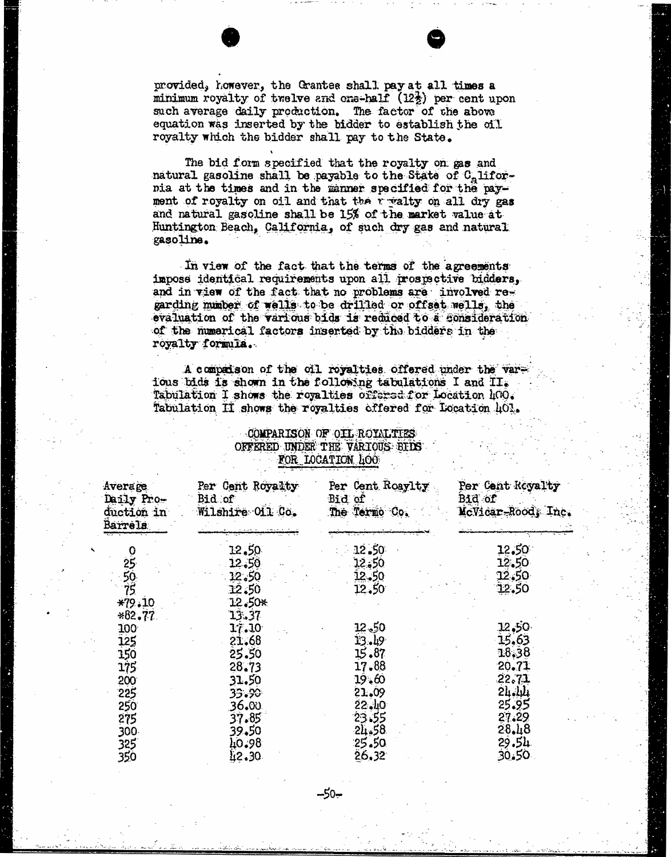provided, however, the Grantee shall pay at all times a minimum royalty of twelve and ons-half  $(12\frac{1}{2})$  per cent upon such average daily production. The factor of the above equation was inserted by the bidder to establish the oil royalty which the bidder shall pay to the State.

The bid form specified that the royalty on gas and natural gasoline shall be payable to the State of  $C_n$  lifornia at the times and in the manner specified for the payment of royalty on oil and that the r walty on all dry gas and natural gasoline shall be 15% of the market value at Huntington Beach, California, of such dry gas and natural gasoline.

In view of the fact that the terms of the agreements impose identical requirements upon all prospective bidders, and in view of the fact that no problems are involved regarding number of wells to be drilled or offset wells, the evaluation of the various bids is reduced to a consideration of the numerical factors inserted by the bidders in the royalty formula.

A compaison of the oil royalties offered under the vare ious bads is shown in the following tabulations I and II. Tabulation I shows the royalties offered for Location Loo. Tabulation II shows the royalties offered for Location 401.

| KOR TOGETION 400                                                                  |                                                                                                 |                                                                                                     |                                                                                                         |  |  |
|-----------------------------------------------------------------------------------|-------------------------------------------------------------------------------------------------|-----------------------------------------------------------------------------------------------------|---------------------------------------------------------------------------------------------------------|--|--|
| Average<br>Daily Pro-<br>duction in<br>Barrels                                    | Per Cent Royalty<br>Bid of<br>Wilshire Oil Co.                                                  | Per Cent Roaylty<br>Bid of<br>The Termo Co.                                                         | Per Cent Royalty<br>Bid of<br>McVicar-Rood, Inc.                                                        |  |  |
| 025050<br>$*79.10$<br>$*82.77$                                                    | 12.50<br>12.50<br>12.50<br>12.50<br>12.50*<br>13.37                                             | 12.50<br>12.50<br>12.50<br>12.50                                                                    | 12.50<br>12.50<br>12.50<br>12.50                                                                        |  |  |
| 100<br>125<br>150<br>175.<br>200<br>225<br><b>250</b><br>275<br>300<br>325<br>350 | 17.10<br>21.68<br>25.50<br>28.73<br>31.50<br>35.50<br>36.00<br>37.85<br>39.50<br>40.98<br>42.30 | $12 - 50$<br>13.49<br>15.87<br>17.88<br>19.60<br>21.09<br>22.10<br>23.55<br>24.58<br>25.50<br>26.32 | <u>12,50.</u><br>15,63<br>18,38<br>20.71<br>22.71<br>24.14<br>25.95<br>27.29<br>28.18<br>29.54<br>30.50 |  |  |

-COMPARISON OF OIL ROYALTIES OFFERED UNDER THE VARIOUS BIDS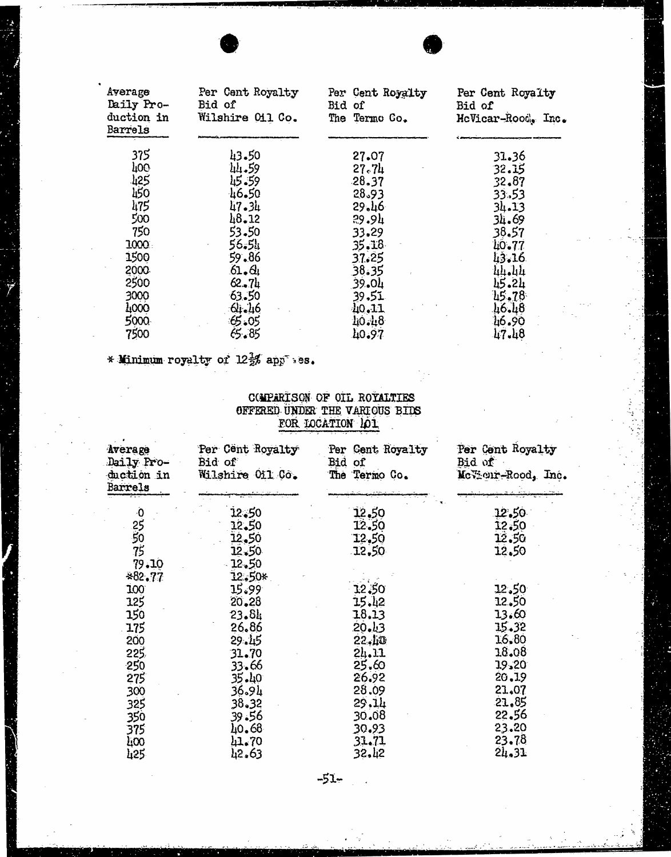| Average<br>Daily Pro-<br>duction in<br>Barrels | Per Cent Royalty<br>Bid of<br>Wilshire 011 Co. | Per Cent Royalty<br>Bid of<br>The Termo Co. | Per Cent Royalty<br>Bid of<br>HeVicar-Rood, Inc. |
|------------------------------------------------|------------------------------------------------|---------------------------------------------|--------------------------------------------------|
| 375                                            | 43.50                                          | 27.07                                       | 31.36                                            |
| 100                                            | 44.59                                          | 27.74                                       | 32.15                                            |
| 125                                            | 45.59                                          | 28.37                                       | 32.87                                            |
| 450                                            | 46.50                                          | 28.93                                       | 33.53                                            |
| 475                                            | 47.34                                          | 29.46                                       | 34.13                                            |
| 500                                            | $48 - 12$                                      | 29.9 <sub>4</sub>                           | 34.69                                            |
| 750                                            | 53.50                                          | 33.29                                       | 38.57                                            |
| 1000                                           | 56.51                                          | 35.18                                       | 40.77                                            |
| 1500                                           | 59.86                                          | 37.25                                       | 43.16                                            |
| 2000                                           | 61.61                                          | 38.35                                       | 44.44                                            |
| 2500                                           | $62 - 74$                                      | 39.01                                       | 45.24                                            |
| 3000                                           | 63.50                                          |                                             |                                                  |
|                                                |                                                | 39.51                                       | 45.78                                            |
| 4000                                           | 64.46                                          | 40.11                                       | 46.48                                            |
| 5000                                           | 65.05                                          | 10.18                                       | 46.90                                            |
| 7500                                           | 65.85                                          | 40.97                                       | 47.48                                            |

# \* Minimum royalty of  $12\frac{1}{2}\%$  app" : es.

## COMPARISON OF OIL ROYALTIES OFFERED. UNDER THE VARIOUS BIDS FOR LOCATION IOI

| Average<br>Daily Pro-<br>duction in<br>Barrels | Per Cent Royalty<br>Bid of<br>Wilshire Oil Co. | Per Cent Royalty<br>Bid of<br>The Termo Co. | Per Cent Royalty<br>Bid of<br>McVeur-Rood, Inc. |
|------------------------------------------------|------------------------------------------------|---------------------------------------------|-------------------------------------------------|
| $\ddot{\mathbf{0}}$                            | 12.50                                          | 12.50                                       | 12.50                                           |
|                                                | 12.50                                          | 12.50                                       | 12.50                                           |
|                                                | 12,50                                          | 12,50                                       | 12.50                                           |
| 255075                                         | 12.50                                          | 12,50                                       | 12.50                                           |
| 79.10                                          | $12 - 50$                                      |                                             |                                                 |
| *82.77                                         | 12.50*                                         |                                             |                                                 |
| 100                                            | 15.99                                          | 12.50                                       | 12.50                                           |
| 125                                            | 20,28                                          | 15.42                                       | 12,50                                           |
| 150                                            | 23.84                                          | 18.13                                       | 13.60                                           |
| 175                                            | 26.86                                          | 20.13                                       | 15.32                                           |
| 200                                            | 29.15                                          | 22.10                                       | 16.80                                           |
| 225,                                           | 31.70                                          | 24.11                                       | 18.08                                           |
| 250                                            | 33.66                                          | 25.60                                       | 19.20                                           |
| 275                                            | $35 - 40$                                      | 26.92                                       | 20.19                                           |
| 300                                            | 36.94                                          | 28.09                                       | 21,07                                           |
| 325                                            | 38.32                                          | 29.14                                       | 21.85                                           |
| 350                                            | 39.56                                          | 30.08                                       | 22.56                                           |
| 375                                            | 40.68                                          | 30.93                                       | 23.20                                           |
| ξΩ0                                            | 41.70                                          | 31.71                                       | 23.78                                           |
| 425                                            | 42.63                                          | 32.12                                       | 21.31                                           |

-51-

 $\bar{1}$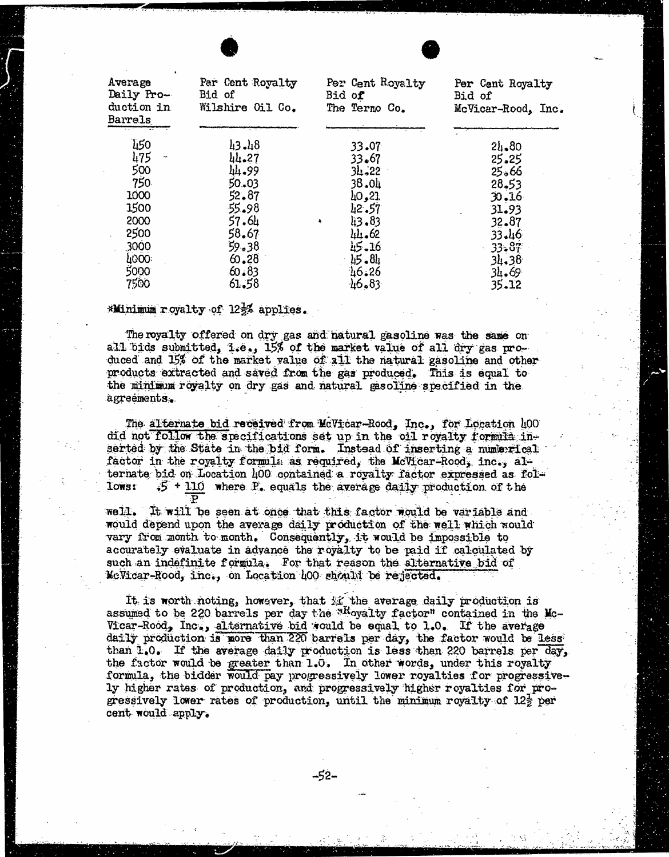| Average<br>Daily Pro-<br>duction in<br>Barrels | Par Cent Royalty<br>Bid of<br>Wilshire Oil Co. | Per Cent Royalty<br>Bid of<br>The Termo Co. | Per Cent Royalty<br>Bid of<br>McVicar-Rood, Inc. |
|------------------------------------------------|------------------------------------------------|---------------------------------------------|--------------------------------------------------|
| 450                                            | 43.48                                          | 33.07                                       | 24.80                                            |
| 475                                            | 44.27                                          | 33.67                                       | 25.25                                            |
| 500                                            | 44.99                                          | 34.22                                       | 25.66                                            |
| 750                                            | 50,03                                          | 38.04                                       | $28 - 53$                                        |
| 1000                                           | 52.87                                          | 10,21                                       | 30.16                                            |
| 1500                                           | 55.98                                          | $42 - 57$                                   | 31.93                                            |
| 2000                                           | 57.64                                          | 13.83<br>$\ddot{\phantom{a}}$               | 32.87                                            |
| 2500<br>$\hat{\textbf{z}}$                     | 58.67                                          | 44.62                                       | 33.46                                            |
| 3000                                           | $59 - 38$                                      | 15.16                                       | 33.87                                            |
| 4000                                           | 60, 28                                         | $15 - 8h$                                   | 34.38                                            |
| 5000                                           | 60.83                                          | 46.26                                       | 34.69                                            |
| 7500                                           | 61.58                                          | 46.83                                       | 35.12                                            |

## \*Minimum royalty of 122% applies.

The royalty offered on dry gas and natural gasoline was the same on all bids submitted, i.e., 15% of the market value of all dry gas produced and 15% of the market value of all the natural gasoline and other products extracted and saved from the gas produced. This is equal to the minimum royalty on dry gas and natural gasoline specified in the agreements.

The alternate bid received from MeVicar-Rood, Inc., for Location 400 did not follow the specifications set up in the oil royalty formila inserted by the State in the bid form. Instead of inserting a numerical factor in the royalty formula as required, the McVicar-Rood, inc., alternate bid on Location 400 contained a royalty factor expressed as fol-<br>lows:  $-35 + 110$  where  $\mathbb{P}_2$  equals the average daily production of the  $15 + 110$  where P. equals the average daily production of the

well. It will be seen at once that this factor would be variable and would depend upon the average daily production of the well which would vary from month to month. Consequently, it would be impossible to accurately evaluate in advance the royalty to be paid if calculated by such an indefinite formula. For that reason the alternative bid of McVicar-Rood, inc., on Location 400 should be rejected.

It is worth noting, however, that  $\mathcal{H}$  the average daily production is assumed to be 220 barrels per day the "Royalty factor" contained in the Mc-Vicar-Rood, Inc., alternative bid would be equal to 1.0. If the average daily production is more than 220 barrels per day, the factor would be less than 1.0. If the average daily production is less than 220 barrels per day, the factor would be greater than 1.0. In other words, under this royalty formula, the bidder would pay progressively lower royalties for progressively higher rates of production, and progressively higher royalties for progressively lower rates of production, until the minimum royalty of  $12\frac{1}{2}$  per cent would apply.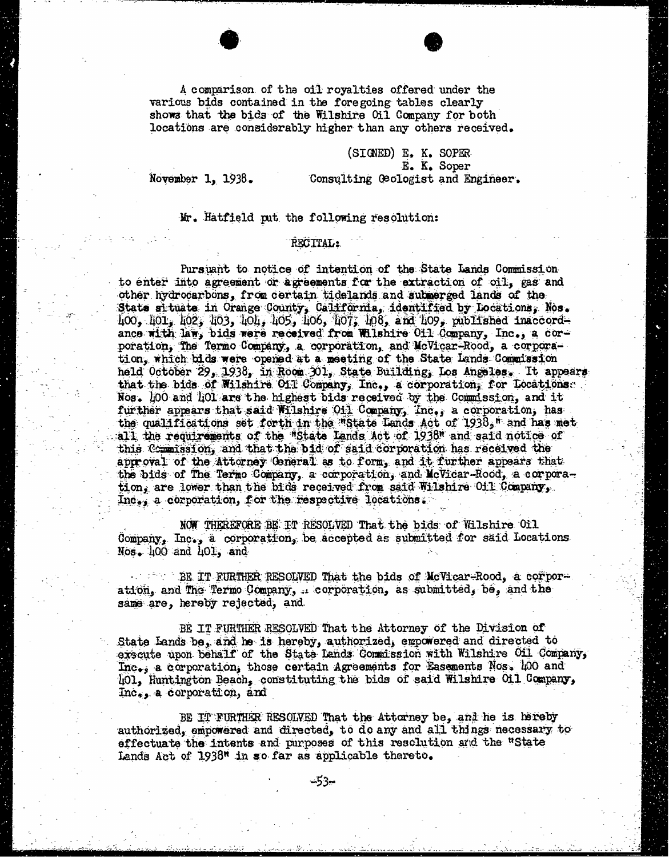A comparison of the oil royalties offered under the various bids contained in the foregoing tables clearly shows that the bids of the Wilshire Oil Company for both locations are considerably higher than any others received.

(SIGNED) E. K. SOPER E. K. Soper November 1, 1938. Consulting Geologist and Engineer.

#### Mr. Hatfield put the following resolution:

#### RECITAL:

Pursuant to notice of intention of the State Lands Commission to enter into agreement or agreements for the extraction of oil, gas and other hydrocarbons, from certain tidelands and submerged lands of the State situate in Orange County, California, identified by Locations, Nos. 400, 401, 402, 403, 104, 405, 106, 107, 108, and 409, published inaccordance with law, bids were received from Wilshire Oil Company, Inc., a corporation, The Termo Company, a corporation, and McVicar-Rood, a corporation, which bids were opened at a meeting of the State Lands Commission held October 29, 1938, in Room 301, State Building, Los Angeles. It appears that the bids of Wilshire Oil Company, Inc., a corporation, for Locationse . Nos. 100 and 101 are the highest bids received by the Commission, and it further appears that said Wilshire Oil Company, Inc.; a corporation, has the qualifications set forth in the "State Lands Act of 1938," and has met<br>all the requirements of the "State Lands Act of 1938" and said notice of this Commission, and that the bid of said corporation has received the approval of the Attorney General as to form, and it further appears that the bids of The Termo Company, a corporation, and McVicar-Rood, a corporation, are lower than the bids received from said Wilshire Oil Company, Inc.; a corporation, for the respective locations.

NOW THEREFORE BE IT RESOLVED That the bids of Wilshire Oil Company, Inc., a corporation, be accepted as submitted for said Locations. Nos. 400 and 401, and

BE. IT FURTHER RESOLVED That the bids of McVicar-Rood, a corporation, and The Termo Company, : corporation, as submitted, be, and the same are, hereby rejected, and

BE IT FURTHER RESOLVED That the Attorney of the Division of State Lands be, and he is hereby, authorized, empowered and directed to exscute upon behalf of the State Lands Commission with Wilshire Oil Company, Inc.; a corporation, those certain Agreements for Easements Nos. 400 and 401, Huntington Beach, constituting the bids of said Wilshire Oil Company, Inc., a corporation, and

BE IT FURTHER RESOLVED That the Attorney be, and he is hereby authorized, empowered and directed, to do any and all things necessary to effectuate the intents and purposes of this resolution and the "State Lands Act of 1938" in so far as applicable thereto.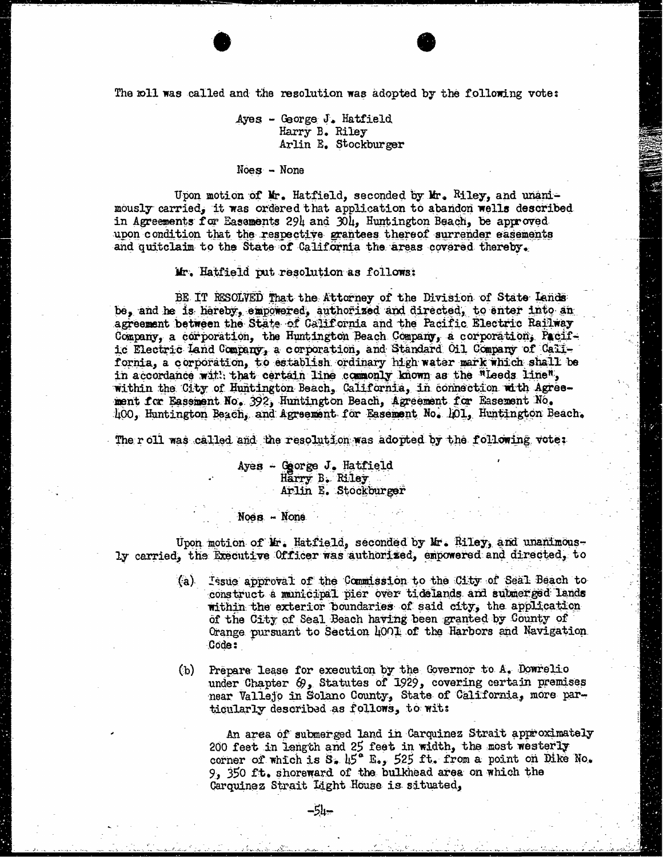The roll was called and the resolution was adopted by the following vote:

# Ayes - George J. Hatfield Harry B. Riley Arlin E. Stockburger

### Noes - None

Upon motion of Mr. Hatfield, seconded by Mr. Riley, and unanimously carried, it was ordered that application to abandon wells described in Agreements for Basements 294 and 304, Huntington Beach, be approved upon condition that the respective grantees thereof surrender easements and quitclaim to the State of California the areas covered thereby.

Mr. Hatfield put resolution as follows:

BE IT RESOLVED That the Attorney of the Division of State Lands be, and he is hereby, empowered, authorized and directed, to enter into an agreement between the State of California and the Pacific Electric Railway Company, a corporation, the Huntington Beach Company, a corporation, Pacific Electric land Company, a corporation, and Standard Oil Company of Callfornia, a corporation, to establish ordinary high water mark which shall be in accordance with that certain line commonly known as the "Leeds line", within the City of Huntington Beach, California, in connection with Agreement for Easement No. 392, Huntington Beach, Agreement for Easement No. 100, Huntington Beach, and Agreement for Easement No. 101, Huntington Beach.

The roll was called and the resolution was adopted by the following vote:

Ayes - George J. Hatfield Harry B. Riley Arlin E. Stockburger

#### Noes - None

Upon motion of Mr. Hatfield, seconded by Mr. Riley, and unanimous- ly carried, the Executive Officer was authorized, empowered and directed, to

- (a) Issue approval of the Commission to the City of Seal Beach to construct a municipal pier over tidelands and submerged lands within the exterior boundaries of said city, the application of the City of Seal Beach having been granted by County of Orange pursuant to Section 4001 of the Harbors and Navigation Code :
- (b) Prepare lease for execution by the Governor to A. Dowrelio under Chapter 69, Statutes of 1929, covering certain premises near Vallejo in Solano County, State of California, more particularly described as follows, to wit:

An area of submerged land in Carquinez Strait approximately 200 feet in length and 25 feet in width, the most westerly corner of which is S. 45<sup>°</sup> E., 525 ft. from a point on Dike No. 9, 350 ft. shoreward of the bulkhead area on which the Carquinez Strait Light House is situated,